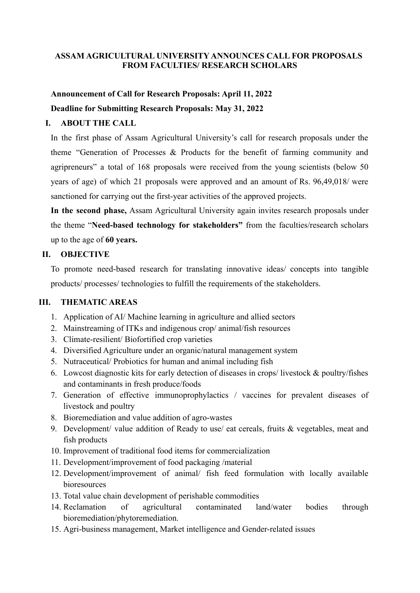#### **ASSAM AGRICULTURAL UNIVERSITY ANNOUNCES CALL FOR PROPOSALS FROM FACULTIES/ RESEARCH SCHOLARS**

# **Announcement of Call for Research Proposals: April 11, 2022 Deadline for Submitting Research Proposals: May 31, 2022**

## **I. ABOUT THE CALL**

In the first phase of Assam Agricultural University's call for research proposals under the theme "Generation of Processes & Products for the benefit of farming community and agripreneurs" a total of 168 proposals were received from the young scientists (below 50 years of age) of which 21 proposals were approved and an amount of Rs. 96,49,018/ were sanctioned for carrying out the first-year activities of the approved projects.

**In the second phase,** Assam Agricultural University again invites research proposals under the theme "**Need-based technology for stakeholders"** from the faculties/research scholars up to the age of **60 years.**

#### **II. OBJECTIVE**

To promote need-based research for translating innovative ideas/ concepts into tangible products/ processes/ technologies to fulfill the requirements of the stakeholders.

#### **III. THEMATIC AREAS**

- 1. Application of AI/ Machine learning in agriculture and allied sectors
- 2. Mainstreaming of ITKs and indigenous crop/ animal/fish resources
- 3. Climate-resilient/ Biofortified crop varieties
- 4. Diversified Agriculture under an organic/natural management system
- 5. Nutraceutical/ Probiotics for human and animal including fish
- 6. Lowcost diagnostic kits for early detection of diseases in crops/ livestock & poultry/fishes and contaminants in fresh produce/foods
- 7. Generation of effective immunoprophylactics / vaccines for prevalent diseases of livestock and poultry
- 8. Bioremediation and value addition of agro-wastes
- 9. Development/ value addition of Ready to use/ eat cereals, fruits & vegetables, meat and fish products
- 10. Improvement of traditional food items for commercialization
- 11. Development/improvement of food packaging /material
- 12. Development/improvement of animal/ fish feed formulation with locally available bioresources
- 13. Total value chain development of perishable commodities
- 14. Reclamation of agricultural contaminated land/water bodies through bioremediation/phytoremediation.
- 15. Agri-business management, Market intelligence and Gender-related issues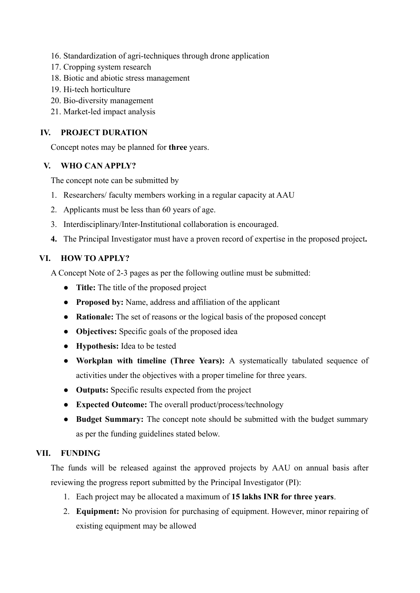- 16. Standardization of agri-techniques through drone application
- 17. Cropping system research
- 18. Biotic and abiotic stress management
- 19. Hi-tech horticulture
- 20. Bio-diversity management
- 21. Market-led impact analysis

## **IV. PROJECT DURATION**

Concept notes may be planned for **three** years.

## **V. WHO CAN APPLY?**

The concept note can be submitted by

- 1. Researchers/ faculty members working in a regular capacity at AAU
- 2. Applicants must be less than 60 years of age.
- 3. Interdisciplinary/Inter-Institutional collaboration is encouraged.
- **4.** The Principal Investigator must have a proven record of expertise in the proposed project**.**

# **VI. HOW TO APPLY?**

A Concept Note of 2-3 pages as per the following outline must be submitted:

- **Title:** The title of the proposed project
- **Proposed by:** Name, address and affiliation of the applicant
- **● Rationale:** The set of reasons or the logical basis of the proposed concept
- **● Objectives:** Specific goals of the proposed idea
- **● Hypothesis:** Idea to be tested
- **Workplan with timeline (Three Years):** A systematically tabulated sequence of activities under the objectives with a proper timeline for three years.
- **● Outputs:** Specific results expected from the project
- **● Expected Outcome:** The overall product/process/technology
- **● Budget Summary:** The concept note should be submitted with the budget summary as per the funding guidelines stated below.

## **VII. FUNDING**

The funds will be released against the approved projects by AAU on annual basis after reviewing the progress report submitted by the Principal Investigator (PI):

- 1. Each project may be allocated a maximum of **15 lakhs INR for three years**.
- 2. **Equipment:** No provision for purchasing of equipment. However, minor repairing of existing equipment may be allowed